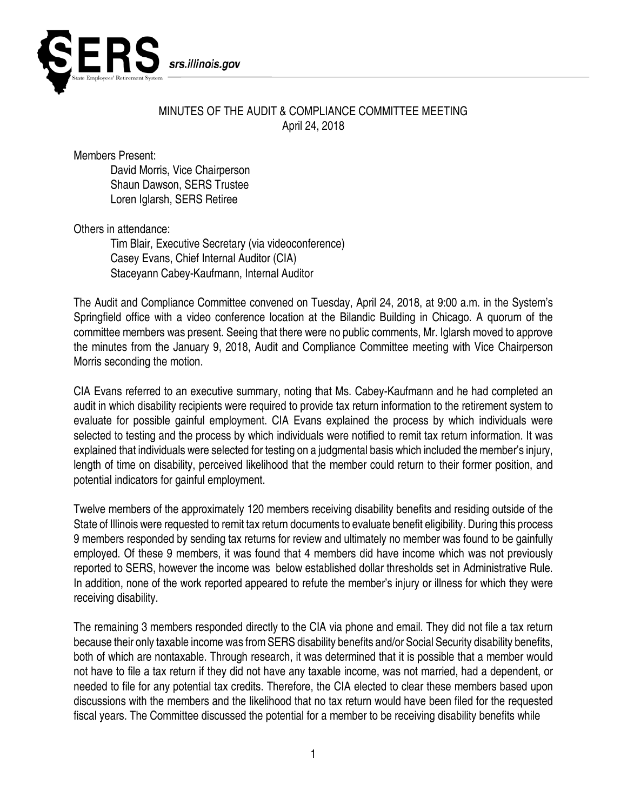

## MINUTES OF THE AUDIT & COMPLIANCE COMMITTEE MEETING April 24, 2018

Members Present:

David Morris, Vice Chairperson Shaun Dawson, SERS Trustee Loren Iglarsh, SERS Retiree

Others in attendance:

Tim Blair, Executive Secretary (via videoconference) Casey Evans, Chief Internal Auditor (CIA) Staceyann Cabey-Kaufmann, Internal Auditor

The Audit and Compliance Committee convened on Tuesday, April 24, 2018, at 9:00 a.m. in the System's Springfield office with a video conference location at the Bilandic Building in Chicago. A quorum of the committee members was present. Seeing that there were no public comments, Mr. Iglarsh moved to approve the minutes from the January 9, 2018, Audit and Compliance Committee meeting with Vice Chairperson Morris seconding the motion.

CIA Evans referred to an executive summary, noting that Ms. Cabey-Kaufmann and he had completed an audit in which disability recipients were required to provide tax return information to the retirement system to evaluate for possible gainful employment. CIA Evans explained the process by which individuals were selected to testing and the process by which individuals were notified to remit tax return information. It was explained that individuals were selected for testing on a judgmental basis which included the member's injury, length of time on disability, perceived likelihood that the member could return to their former position, and potential indicators for gainful employment.

Twelve members of the approximately 120 members receiving disability benefits and residing outside of the State of Illinois were requested to remit tax return documents to evaluate benefit eligibility. During this process 9 members responded by sending tax returns for review and ultimately no member was found to be gainfully employed. Of these 9 members, it was found that 4 members did have income which was not previously reported to SERS, however the income was below established dollar thresholds set in Administrative Rule. In addition, none of the work reported appeared to refute the member's injury or illness for which they were receiving disability.

The remaining 3 members responded directly to the CIA via phone and email. They did not file a tax return because their only taxable income was from SERS disability benefits and/or Social Security disability benefits, both of which are nontaxable. Through research, it was determined that it is possible that a member would not have to file a tax return if they did not have any taxable income, was not married, had a dependent, or needed to file for any potential tax credits. Therefore, the CIA elected to clear these members based upon discussions with the members and the likelihood that no tax return would have been filed for the requested fiscal years. The Committee discussed the potential for a member to be receiving disability benefits while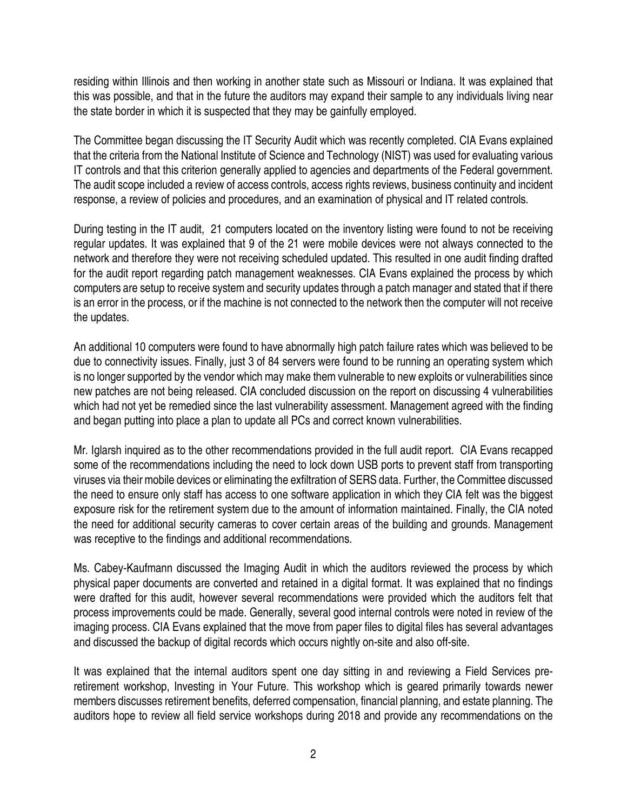residing within Illinois and then working in another state such as Missouri or Indiana. It was explained that this was possible, and that in the future the auditors may expand their sample to any individuals living near the state border in which it is suspected that they may be gainfully employed.

The Committee began discussing the IT Security Audit which was recently completed. CIA Evans explained that the criteria from the National Institute of Science and Technology (NIST) was used for evaluating various IT controls and that this criterion generally applied to agencies and departments of the Federal government. The audit scope included a review of access controls, access rights reviews, business continuity and incident response, a review of policies and procedures, and an examination of physical and IT related controls.

During testing in the IT audit, 21 computers located on the inventory listing were found to not be receiving regular updates. It was explained that 9 of the 21 were mobile devices were not always connected to the network and therefore they were not receiving scheduled updated. This resulted in one audit finding drafted for the audit report regarding patch management weaknesses. CIA Evans explained the process by which computers are setup to receive system and security updates through a patch manager and stated that if there is an error in the process, or if the machine is not connected to the network then the computer will not receive the updates.

An additional 10 computers were found to have abnormally high patch failure rates which was believed to be due to connectivity issues. Finally, just 3 of 84 servers were found to be running an operating system which is no longer supported by the vendor which may make them vulnerable to new exploits or vulnerabilities since new patches are not being released. CIA concluded discussion on the report on discussing 4 vulnerabilities which had not yet be remedied since the last vulnerability assessment. Management agreed with the finding and began putting into place a plan to update all PCs and correct known vulnerabilities.

Mr. Iglarsh inquired as to the other recommendations provided in the full audit report. CIA Evans recapped some of the recommendations including the need to lock down USB ports to prevent staff from transporting viruses via their mobile devices or eliminating the exfiltration of SERS data. Further, the Committee discussed the need to ensure only staff has access to one software application in which they CIA felt was the biggest exposure risk for the retirement system due to the amount of information maintained. Finally, the CIA noted the need for additional security cameras to cover certain areas of the building and grounds. Management was receptive to the findings and additional recommendations.

Ms. Cabey-Kaufmann discussed the Imaging Audit in which the auditors reviewed the process by which physical paper documents are converted and retained in a digital format. It was explained that no findings were drafted for this audit, however several recommendations were provided which the auditors felt that process improvements could be made. Generally, several good internal controls were noted in review of the imaging process. CIA Evans explained that the move from paper files to digital files has several advantages and discussed the backup of digital records which occurs nightly on-site and also off-site.

It was explained that the internal auditors spent one day sitting in and reviewing a Field Services preretirement workshop, Investing in Your Future. This workshop which is geared primarily towards newer members discusses retirement benefits, deferred compensation, financial planning, and estate planning. The auditors hope to review all field service workshops during 2018 and provide any recommendations on the